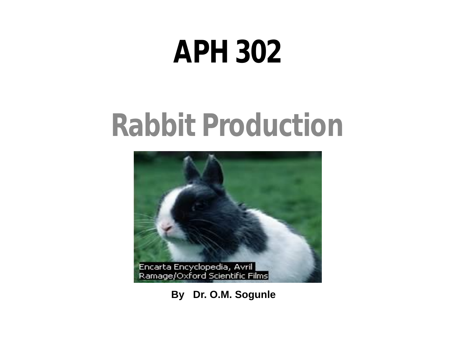# **APH 302**

# **Rabbit Production**



**By Dr. O.M. Sogunle**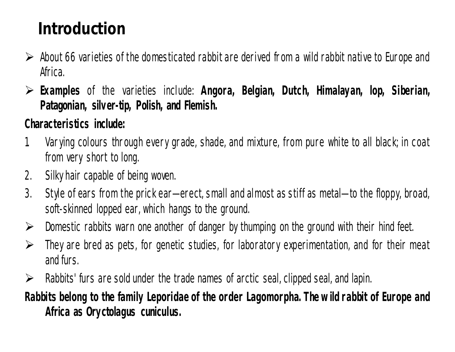# **Introduction**

- $\triangleright$  About 66 varieties of the domesticated rabbit are derived from a wild rabbit native to Europe and Africa.
- **Examples** of the varieties include: *Angora, Belgian, Dutch, Himalayan, lop, Siberian, Patagonian, silver-tip, Polish, and Flemish.*

#### **Characteristics include:**

- 1. Varying colours through every grade, shade, and mixture, from pure white to all black; in coat from very short to long.
- 2. Silkyhair capable of being woven.
- 3. Style of ears from the prick ear—erect, small and almost as stiff as metal—to the floppy, broad, soft-skinned lopped ear, which hangs to the ground.
- $\triangleright$  Domestic rabbits warn one another of danger by thumping on the ground with their hind feet.
- $\triangleright$  They are bred as pets, for genetic studies, for laboratory experimentation, and for their meat and furs.
- $\triangleright$  Rabbits' furs are sold under the trade names of arctic seal, clipped seal, and lapin.

#### **Rabbits belong to the family Leporidae of the order Lagomorpha. The w ild rabbit of Europe and Africa as** *Oryctolagus cuniculus.*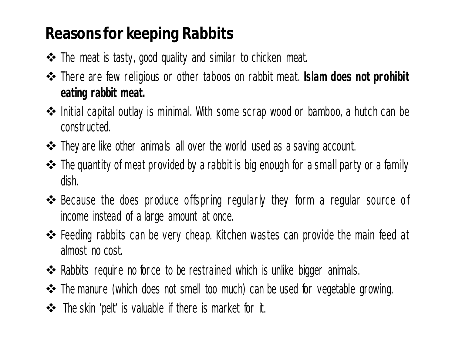# **Reasons for keeping Rabbits**

- The meat is tasty, good quality and similar to chicken meat.
- There are few religious or other taboos on rabbit meat. *Islam does not prohibit eating rabbit meat.*
- Initial capital outlay is minimal. With some scrap wood or bamboo, a hutch can be constructed.
- They are like other animals all over the world used as a saving account.
- The quantity of meat provided by a rabbit is big enough for a small party or a family dish.
- $\triangle$  Because the does produce offspring regularly they form a regular source of income instead of a large amount at once.
- Feeding rabbits can be very cheap. Kitchen wastes can provide the main feed at almost no cost.
- ◆ Rabbits require no force to be restrained which is unlike bigger animals.
- The manure (which does not smell too much) can be used for vegetable growing.
- The skin 'pelt' is valuable if there is market for it.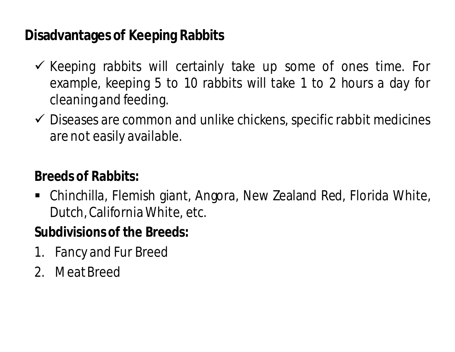#### **Disadvantages of Keeping Rabbits**

- $\checkmark$  Keeping rabbits will certainly take up some of ones time. For example, keeping 5 to 10 rabbits will take 1 to 2 hours a day for cleaningand feeding.
- $\checkmark$  Diseases are common and unlike chickens, specific rabbit medicines are not easily available.

#### **Breeds of Rabbits:**

 Chinchilla, Flemish giant, Angora, New Zealand Red, Florida White, Dutch,California White, etc.

#### **Subdivisions of the Breeds:**

- 1. Fancy and Fur Breed
- 2. MeatBreed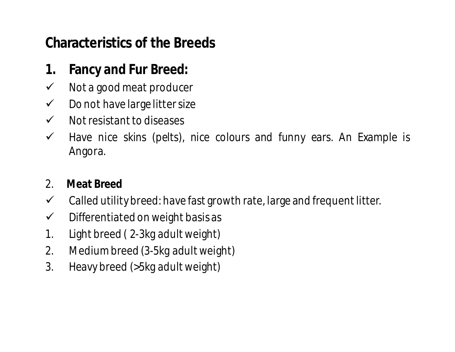#### **Characteristics of the Breeds**

#### **1. Fancy and Fur Breed:**

- $\checkmark$  Not a good meat producer
- $\checkmark$  Do not have large litter size
- $\checkmark$  Not resistant to diseases
- $\checkmark$  Have nice skins (pelts), nice colours and funny ears. An Example is Angora.

#### 2. **Meat Breed**

- $\checkmark$  Called utility breed: have fast growth rate, large and frequent litter.
- $\checkmark$  Differentiated on weight basis as
- 1. Light breed ( 2-3kg adult weight)
- 2. Mediumbreed (3-5kg adult weight)
- 3. Heavy breed (>5kg adult weight)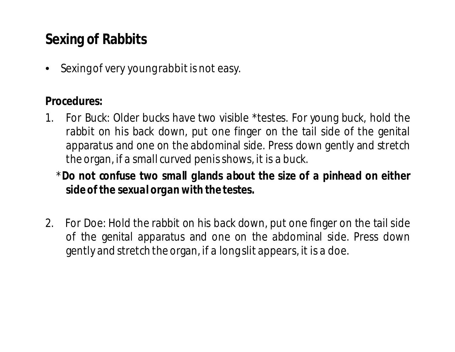## **Sexing of Rabbits**

• Sexing of very young rabbit is not easy.

#### **Procedures:**

- 1. For Buck: Older bucks have two visible \*testes. For young buck, hold the rabbit on his back down, put one finger on the tail side of the genital apparatus and one on the abdominal side. Press down gently and stretch the organ, if a small curved penisshows, it is a buck.
	- \**Do not confuse two small glands about the size of a pinhead on either side of the sexual organ with the testes.*
- 2. For Doe: Hold the rabbit on his back down, put one finger on the tail side of the genital apparatus and one on the abdominal side. Press down gently and stretch the organ, if a long slit appears, it is a doe.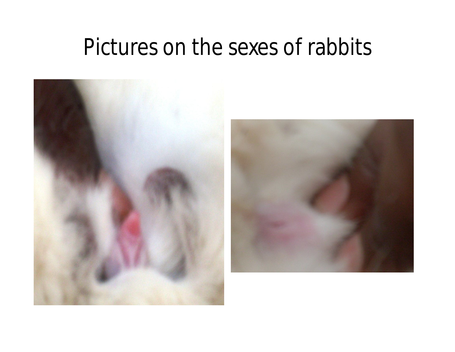# Pictures on the sexes of rabbits

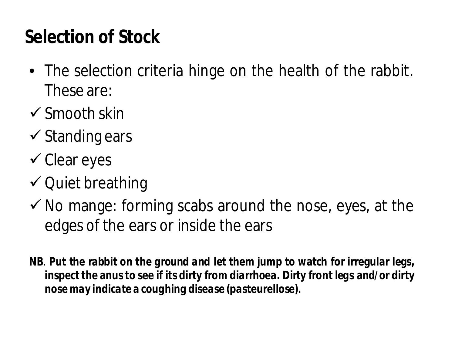# **Selection of Stock**

- The selection criteria hinge on the health of the rabbit. These are:
- $\checkmark$  Smooth skin
- $\checkmark$  Standing ears
- $\checkmark$  Clear eyes
- $\checkmark$  Quiet breathing
- $\checkmark$  No mange: forming scabs around the nose, eyes, at the edges of the ears or inside the ears
- **NB**. *Put the rabbit on the ground and let them jump to watch for irregular legs, inspect the anus to see if its dirty from diarrhoea. Dirty front legs and/or dirty nose may indicate a coughing disease (pasteurellose).*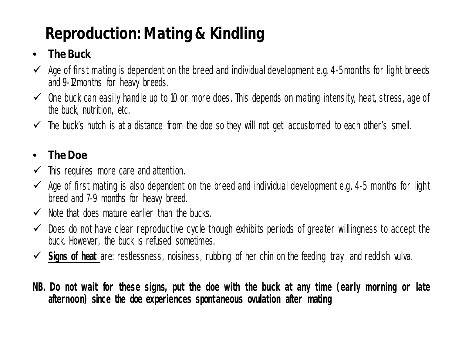# **Reproduction: Mating & Kindling**

#### • **The Buck**

- $\checkmark$  Age of first mating is dependent on the breed and individual development e.g. 4-5 months for light breeds and 9-12months for heavy breeds.
- $\checkmark$  One buck can easily handle up to 10 or more does. This depends on mating intensity, heat, stress, age of the buck, nutrition, etc.
- $\checkmark$  The buck's hutch is at a distance from the doe so they will not get accustomed to each other's smell.

#### • **TheDoe**

- $\checkmark$  This requires more care and attention.
- $\checkmark$  Age of first mating is also dependent on the breed and individual development e.g. 4-5 months for light breed and 7-9 months for heavy breed.
- $\checkmark$  Note that does mature earlier than the bucks.
- $\checkmark$  Does do not have clear reproductive cycle though exhibits periods of greater willingness to accept the buck. However, the buck is refused sometimes.
- **Signs of heat** are: restlessness, noisiness, rubbing of her chin on the feeding tray and reddish vulva.
- NB. Do not wait for these signs, put the doe with the buck at any time (early morning or late *afternoon) since the doe experiences spontaneous ovulation after mating*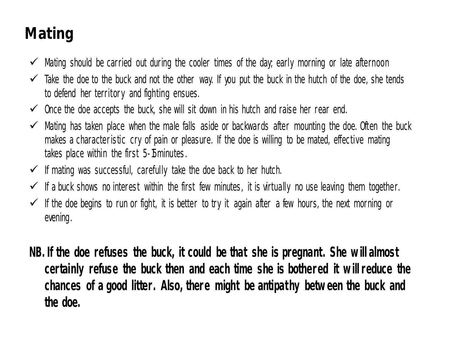# **Mating**

- $\checkmark$  Mating should be carried out during the cooler times of the day, early morning or late afternoon
- $\checkmark$  Take the doe to the buck and not the other way. If you put the buck in the hutch of the doe, she tends to defend her territory and fighting ensues.
- $\checkmark$  once the doe accepts the buck, she will sit down in his hutch and raise her rear end.
- $\checkmark$  Mating has taken place when the male falls aside or backwards after mounting the doe. Often the buck makes a characteristic cry of pain or pleasure. If the doe is willing to be mated, effective mating takes place within the first 5-15minutes.
- $\checkmark$  If mating was successful, carefully take the doe back to her hutch.
- $\checkmark$  If a buck shows no interest within the first few minutes, it is virtually no use leaving them together.
- $\checkmark$  If the doe begins to run or fight, it is better to try it again after a few hours, the next morning or evening.
- *NB. If the doe refuses the buck, it could be that she is pregnant. She w ill almost certainly refuse the buck then and each time she is bothered it w ill reduce the chances of a good litter. Also, there might be antipathy betw een the buck and the doe.*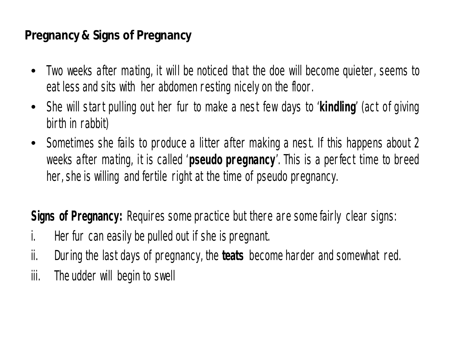#### **Pregnancy & Signs of Pregnancy**

- Two weeks after mating, it will be noticed that the doe will become quieter, seems to eat less and sits with her abdomen resting nicely on the floor.
- She will start pulling out her fur to make a nest few days to '**kindling**' (act of giving birth in rabbit)
- Sometimes she fails to produce a litter after making a nest. If this happens about 2 weeks after mating, it is called '**pseudo pregnancy**'. This is a perfect time to breed her, she is willing and fertile right at the time of pseudo pregnancy.

**Signs of Pregnancy:** Requires some practice but there are some fairly clear signs:

- i. Her fur can easily be pulled out if she is pregnant.
- ii. During the last days of pregnancy, the **teats** become harder and somewhat red.
- iii. The udder will begin to swell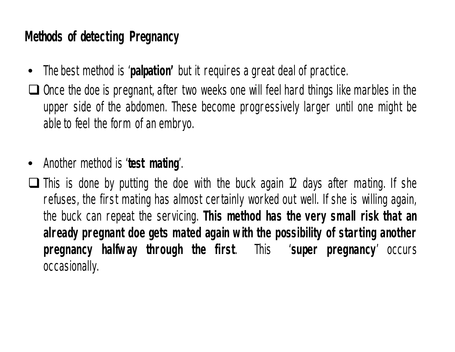#### **Methods of detecting Pregnancy**

- The best method is '**palpation'** but it requires a great deal of practice.
- $\Box$  Once the doe is pregnant, after two weeks one will feel hard things like marbles in the upper side of the abdomen. These become progressively larger until one might be able to feel the form of an embryo.
- Another method is '**test mating**'.
- $\Box$  This is done by putting the doe with the buck again 12 days after mating. If she refuses, the first mating has almost certainly worked out well. If she is willing again, the buck can repeat the servicing. *This method has the very small risk that an already pregnant doe gets mated again w ith the possibility of starting another pregnancy halfw ay through the first*. This '**super pregnancy**' occurs occasionally.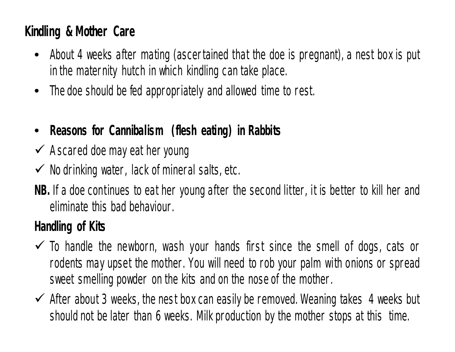#### **Kindling & Mother Care**

- About 4 weeks after mating (ascertained that the doe is pregnant), a nest box is put in the maternity hutch in which kindling can take place.
- The doe should be fed appropriately and allowed time to rest.
- **Reasons for Cannibalism (flesh eating) in Rabbits**
- $\checkmark$  A scared doe may eat her young
- $\checkmark$  Nodrinking water, lack of mineral salts, etc.
- **NB.** If a doe continues to eat her young after the second litter, it is better to kill her and eliminate this bad behaviour.

#### **Handling of Kits**

- $\checkmark$  To handle the newborn, wash your hands first since the smell of dogs, cats or rodents may upset the mother. You will need to rob your palm with onions or spread sweet smelling powder on the kits and on the noseof the mother.
- $\checkmark$  After about 3 weeks, the nest box can easily be removed. Weaning takes 4 weeks but should not be later than 6 weeks. Milk production by the mother stops at this time.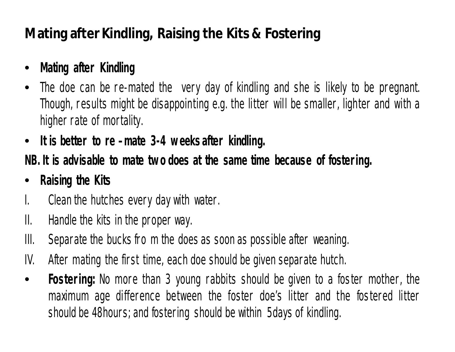#### **Mating after Kindling, Raising the Kits & Fostering**

#### • **Mating after Kindling**

- The doe can be re-mated the very day of kindling and she is likely to be pregnant. Though, results might be disappointing e.g. the litter will be smaller, lighter and with a higher rate of mortality.
- **It is better to re –mate 3-4 w eeksafter kindling.**

#### **NB. It is advisable to mate tw o does at the same time because of fostering.**

#### • **Raising the Kits**

- I. Clean the hutches every day with water.
- II. Handle the kits in the proper way.
- III. Separate the bucks fro m the does as soon as possible after weaning.
- IV. After mating the first time, each doe should be given separate hutch.
- **Fostering:** No more than 3 young rabbits should be given to a foster mother, the maximum age difference between the foster doe's litter and the fostered litter should be 48 hours; and fostering should be within 5 days of kindling.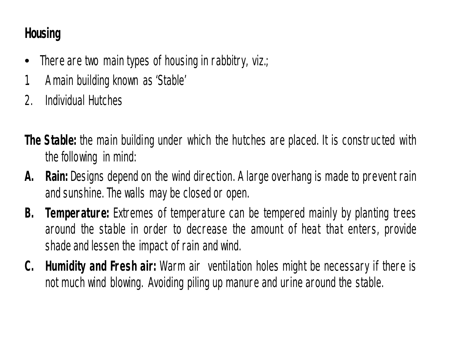#### **Housing**

- There are two main types of housing in rabbitry, viz.;
- 1. Amain building known as 'Stable'
- 2. Individual Hutches
- **The Stable:** the main building under which the hutches are placed. It is constructed with the following in mind:
- **A. Rain:** Designs depend on the wind direction. A large overhang is made to prevent rain and sunshine. The walls may be closed or open.
- **B. Temperature:** Extremes of temperature can be tempered mainly by planting trees around the stable in order to decrease the amount of heat that enters, provide shade and lessen the impact of rain and wind.
- **C. Humidity and Fresh air:** Warm air ventilation holes might be necessary if there is not much wind blowing. Avoiding piling up manure and urine around the stable.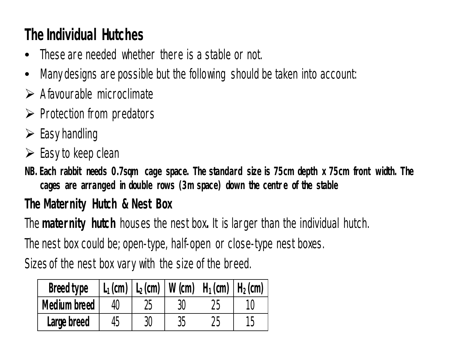# **The Individual Hutches**

- These are needed whether there is a stable or not.
- Many designs are possible but the following should be taken into account:
- $\triangleright$  A favourable microclimate
- $\triangleright$  Protection from predators
- $\triangleright$  Easy handling
- $\triangleright$  Easy to keep clean

*NB. Each rabbit needs 0.7sqm cage space. The standard size is 75cm depth x 75cm front width. The cages are arranged in double rows (3m space) down the centre of the stable*

#### **The Maternity Hutch & Nest Box**

The **maternity hutch** houses the nest box**.** It is larger than the individual hutch.

The nest box could be; open-type, half-open or close-type nest boxes.

Sizes of the nest box vary with the size of the breed.

| <b>Breed type</b>   |                 |    | $L_1$ (cm)   $L_2$ (cm)   W (cm)   H <sub>1</sub> (cm)   H <sub>2</sub> (cm) |    |
|---------------------|-----------------|----|------------------------------------------------------------------------------|----|
| <b>Medium breed</b> |                 | 30 |                                                                              |    |
| Large breed         | 30 <sup>°</sup> | 35 | 25                                                                           | 1h |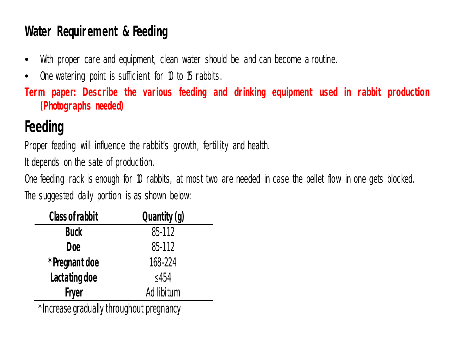#### **Water Requirement & Feeding**

- With proper care and equipment, clean water should be and can become a routine.
- One watering point is sufficient for 10 to 15 rabbits.
- *Term paper: Describe the various feeding and drinking equipment used in rabbit production (Photographs needed)*

# **Feeding**

Proper feeding will influence the rabbit's growth, fertility and health.

It depends on the sate of production.

One feeding rack is enough for 10 rabbits, at most two are needed in case the pellet flow in one gets blocked. The suggested daily portion is as shown below:

| <b>Class of rabbit</b> | Quantity (g) |  |  |
|------------------------|--------------|--|--|
| <b>Buck</b>            | 85-112       |  |  |
| Doe                    | 85-112       |  |  |
| *Pregnant doe          | 168-224      |  |  |
| Lactating doe          | $\leq$ 454   |  |  |
| <b>Fryer</b>           | Ad libitum   |  |  |
| ᆚ<br><br>. L.          |              |  |  |

\*Increase gradually throughout pregnancy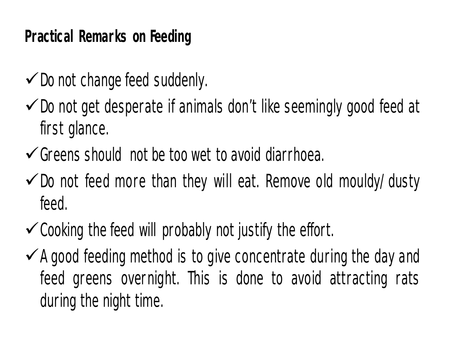# **Practical Remarks on Feeding**

- $\checkmark$  Do not change feed suddenly.
- $\checkmark$  Do not get desperate if animals don't like seemingly good feed at first glance.
- $\checkmark$  Greens should not be too wet to avoid diarrhoea.
- $\checkmark$  Do not feed more than they will eat. Remove old mouldy/dusty feed.
- $\checkmark$  Cooking the feed will probably not justify the effort.
- $\checkmark$  A good feeding method is to give concentrate during the day and feed greens overnight. This is done to avoid attracting rats during the night time.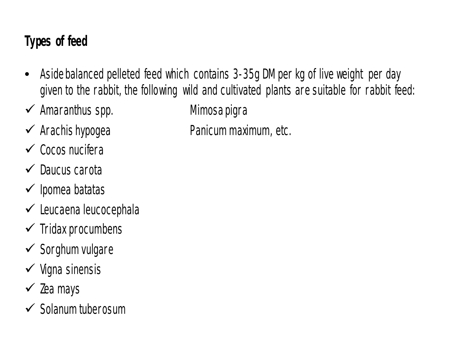#### **Types of feed**

- Aside balanced pelleted feed which contains 3-35g DM per kg of live weight per day given to the rabbit, the following wild and cultivated plants are suitable for rabbit feed:
- *Amaranthus spp. Mimosa pigra*
- *Arachis hypogea Panicum maximum,* etc.
- *Cocos nucifera*
- *Daucus carota*
- *Ipomea batatas*
- *Leucaena leucocephala*
- *Tridax procumbens*
- *Sorghum vulgare*
- *Vigna sinensis*
- *Zea mays*
- *Solanum tuberosum*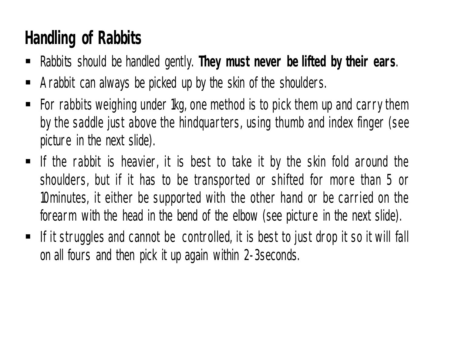# **Handling of Rabbits**

- Rabbits should be handled gently. **They must never be lifted by their ears**.
- A rabbit can always be picked up by the skin of the shoulders.
- For rabbits weighing under 1kg, one method is to pick them up and carry them by the saddle just above the hindquarters, using thumb and index finger (see picture in the next slide).
- If the rabbit is heavier, it is best to take it by the skin fold around the shoulders, but if it has to be transported or shifted for more than 5 or 10minutes, it either be supported with the other hand or be carried on the forearm with the head in the bend of the elbow (see picture in the next slide).
- If it struggles and cannot be controlled, it is best to just drop it so it will fall on all fours and then pick it up again within 2-3seconds.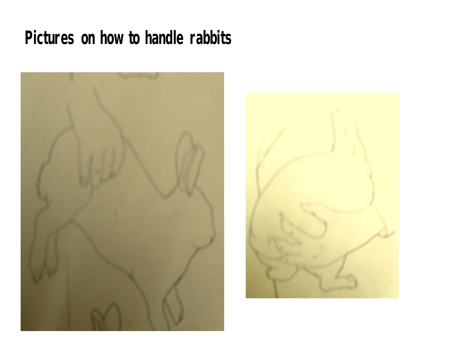# **Pictures on how to handle rabbits**



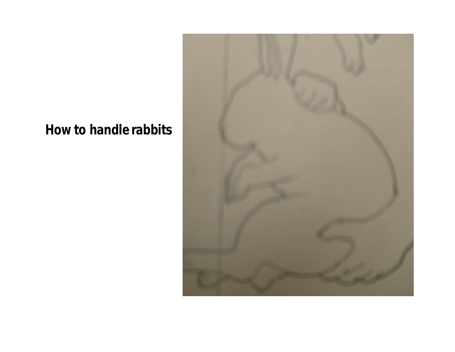#### **How to handle rabbits**

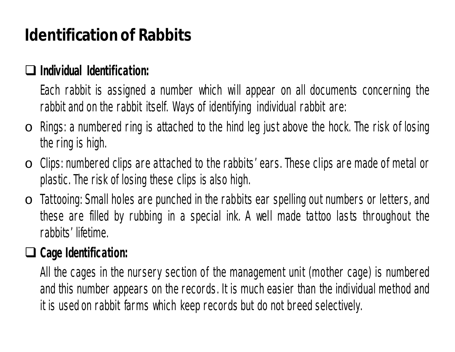# **Identification of Rabbits**

#### **Individual Identification:**

Each rabbit is assigned a number which will appear on all documents concerning the rabbit and on the rabbit itself. Ways of identifying individual rabbit are:

- $\circ$  Rings: a numbered ring is attached to the hind leg just above the hock. The risk of losing the ring is high.
- o Clips: numbered clips are attached to the rabbits' ears. These clips are made of metal or plastic. The risk of losing these clips is also high.
- $\circ$  Tattooing: Small holes are punched in the rabbits ear spelling out numbers or letters, and these are filled by rubbing in a special ink. A well made tattoo lasts throughout the rabbits' lifetime.

#### **Cage Identification:**

All the cages in the nursery section of the management unit (mother cage) is numbered and this number appears on the records. It is much easier than the individual method and it is used on rabbit farms which keep records but do not breed selectively.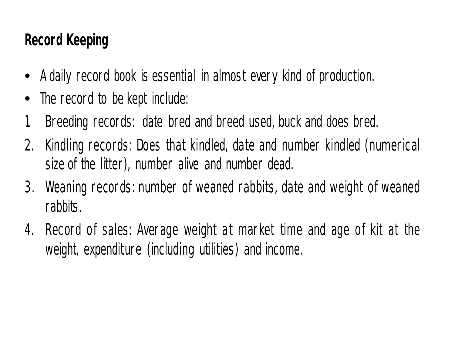## **Record Keeping**

- A daily record book is essential in almost every kind of production.
- The record to be kept include:
- 1. Breeding records: date bred and breed used, buck and does bred.
- 2. Kindling records: Does that kindled, date and number kindled (numerical size of the litter), number alive and number dead.
- 3. Weaning records: number of weaned rabbits, date and weight of weaned rabbits.
- 4. Record of sales: Average weight at market time and age of kit at the weight, expenditure (including utilities) and income.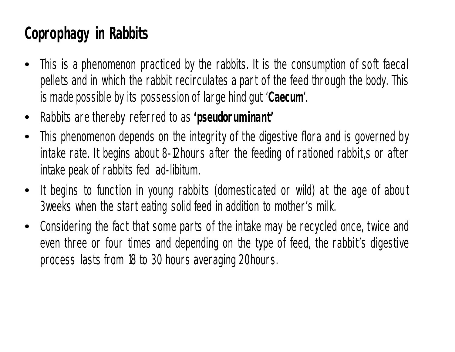# **Coprophagy in Rabbits**

- This is a phenomenon practiced by the rabbits. It is the consumption of soft faecal pellets and in which the rabbit recirculates a part of the feed through the body. This is made possible by its possession of large hind gut '*Caecum*'.
- Rabbits are thereby referred to as *'pseudoruminant'*
- This phenomenon depends on the integrity of the digestive flora and is governed by intake rate. It begins about 8-12hours after the feeding of rationed rabbit,s or after intake peak of rabbits fed *ad-libitum.*
- It begins to function in young rabbits (domesticated or wild) at the age of about 3weeks when the start eating solid feed in addition to mother's milk.
- Considering the fact that some parts of the intake may be recycled once, twice and even three or four times and depending on the type of feed, the rabbit's digestive process lasts from 18 to 30 hours averaging 20hours.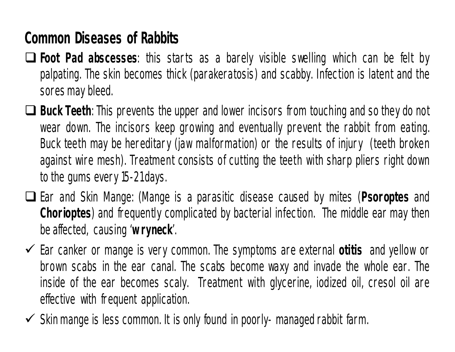# **Common Diseases of Rabbits**

- **Foot Pad abscesses**: this starts as a barely visible swelling which can be felt by palpating. The skin becomes thick (parakeratosis) and scabby. Infection is latent and the sores may bleed.
- **Buck Teeth**: This prevents the upper and lower incisors from touching and so they do not wear down. The incisors keep growing and eventually prevent the rabbit from eating. Buck teeth may be hereditary (jaw malformation) or the results of injury (teeth broken against wire mesh). Treatment consists of cutting the teeth with sharp pliers right down to the gums every 15-21days.
- Ear and Skin Mange: (Mange is a parasitic disease caused by mites (*Psoroptes* and *Chorioptes*) and frequently complicated by bacterial infection. The middle ear may then beaffected, causing '*w ryneck*'.
- Ear canker or mange is very common. The symptoms are external *otitis* and yellow or brown scabs in the ear canal. The scabs become waxy and invade the whole ear. The inside of the ear becomes scaly. Treatment with glycerine, iodized oil, cresol oil are effective with frequent application.
- $\checkmark$  Skin mange is less common. It is only found in poorly- managed rabbit farm.